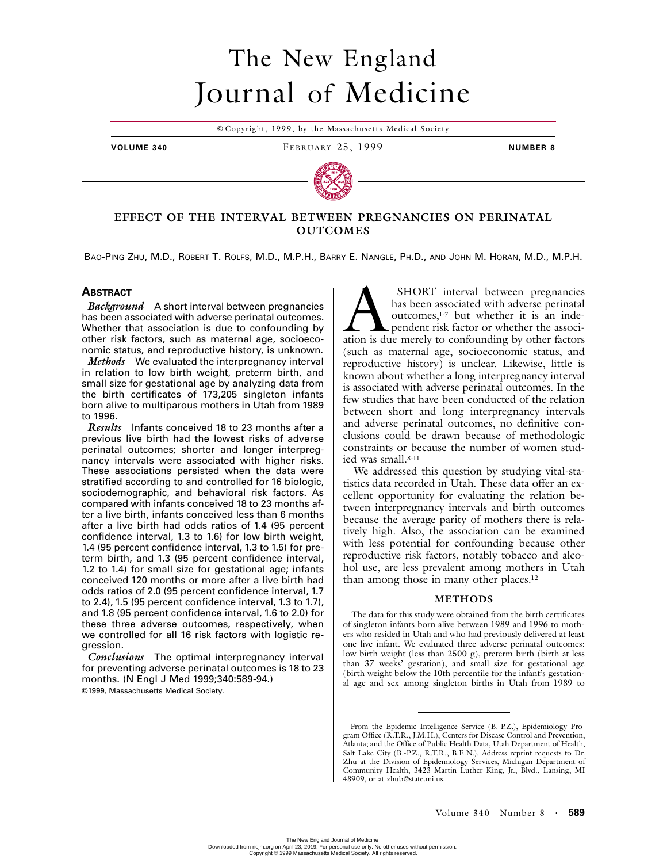# The New England Journal of Medicine

© Copyright, 1999, by the Massachusetts Medical Society

**VOLUME 340** FEBRUARY 25, 1999 **NUMBER 8**



## **EFFECT OF THE INTERVAL BETWEEN PREGNANCIES ON PERINATAL OUTCOMES**

BAO-PING ZHU, M.D., ROBERT T. ROLFS, M.D., M.P.H., BARRY E. NANGLE, PH.D., AND JOHN M. HORAN, M.D., M.P.H.

## **ABSTRACT**

*Background* A short interval between pregnancies has been associated with adverse perinatal outcomes. Whether that association is due to confounding by other risk factors, such as maternal age, socioeconomic status, and reproductive history, is unknown.

*Methods* We evaluated the interpregnancy interval in relation to low birth weight, preterm birth, and small size for gestational age by analyzing data from the birth certificates of 173,205 singleton infants born alive to multiparous mothers in Utah from 1989 to 1996.

*Results* Infants conceived 18 to 23 months after a previous live birth had the lowest risks of adverse perinatal outcomes; shorter and longer interpregnancy intervals were associated with higher risks. These associations persisted when the data were stratified according to and controlled for 16 biologic, sociodemographic, and behavioral risk factors. As compared with infants conceived 18 to 23 months after a live birth, infants conceived less than 6 months after a live birth had odds ratios of 1.4 (95 percent confidence interval, 1.3 to 1.6) for low birth weight, 1.4 (95 percent confidence interval, 1.3 to 1.5) for preterm birth, and 1.3 (95 percent confidence interval, 1.2 to 1.4) for small size for gestational age; infants conceived 120 months or more after a live birth had odds ratios of 2.0 (95 percent confidence interval, 1.7 to 2.4), 1.5 (95 percent confidence interval, 1.3 to 1.7), and 1.8 (95 percent confidence interval, 1.6 to 2.0) for these three adverse outcomes, respectively, when we controlled for all 16 risk factors with logistic regression.

*Conclusions* The optimal interpregnancy interval for preventing adverse perinatal outcomes is 18 to 23 months. (N Engl J Med 1999;340:589-94.) ©1999, Massachusetts Medical Society.

 SHORT interval between pregnancies has been associated with adverse perinatal outcomes,<sup>1-7</sup> but whether it is an independent risk factor or whether the associ-SHORT interval between pregnancies<br>has been associated with adverse perinatal<br>outcomes,<sup>1-7</sup> but whether it is an inde-<br>pendent risk factor or whether the associ-<br>ation is due merely to confounding by other factors (such as maternal age, socioeconomic status, and reproductive history) is unclear. Likewise, little is known about whether a long interpregnancy interval is associated with adverse perinatal outcomes. In the few studies that have been conducted of the relation between short and long interpregnancy intervals and adverse perinatal outcomes, no definitive conclusions could be drawn because of methodologic constraints or because the number of women studied was small.8-11

We addressed this question by studying vital-statistics data recorded in Utah. These data offer an excellent opportunity for evaluating the relation between interpregnancy intervals and birth outcomes because the average parity of mothers there is relatively high. Also, the association can be examined with less potential for confounding because other reproductive risk factors, notably tobacco and alcohol use, are less prevalent among mothers in Utah than among those in many other places.12

## **METHODS**

The data for this study were obtained from the birth certificates of singleton infants born alive between 1989 and 1996 to mothers who resided in Utah and who had previously delivered at least one live infant. We evaluated three adverse perinatal outcomes: low birth weight (less than 2500 g), preterm birth (birth at less than 37 weeks' gestation), and small size for gestational age (birth weight below the 10th percentile for the infant's gestational age and sex among singleton births in Utah from 1989 to

From the Epidemic Intelligence Service (B.-P.Z.), Epidemiology Program Office (R.T.R., J.M.H.), Centers for Disease Control and Prevention, Atlanta; and the Office of Public Health Data, Utah Department of Health, Salt Lake City (B.-P.Z., R.T.R., B.E.N.). Address reprint requests to Dr. Zhu at the Division of Epidemiology Services, Michigan Department of Community Health, 3423 Martin Luther King, Jr., Blvd., Lansing, MI 48909, or at zhub@state.mi.us.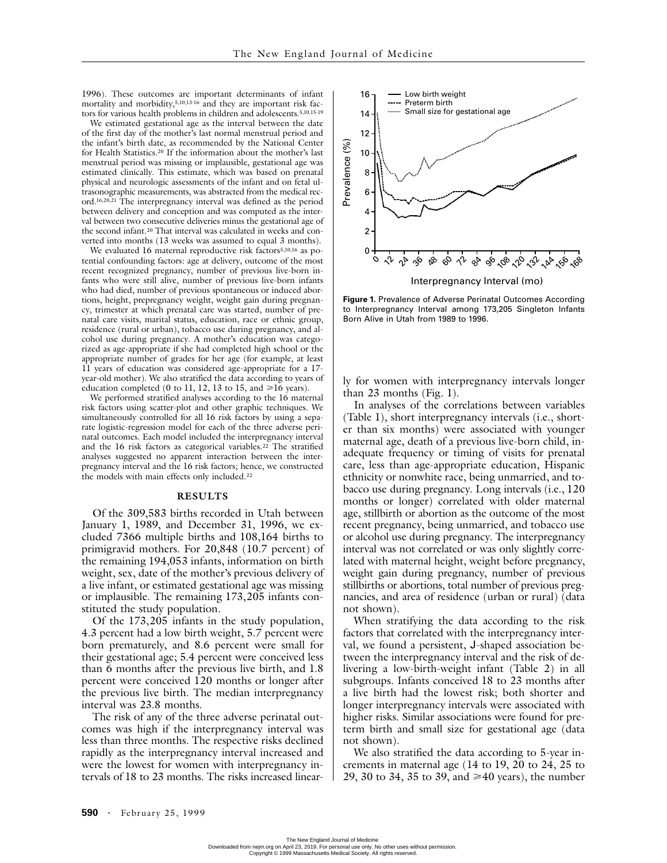1996). These outcomes are important determinants of infant mortality and morbidity,5,10,13-16 and they are important risk factors for various health problems in children and adolescents.5,10,15-19

We estimated gestational age as the interval between the date of the first day of the mother's last normal menstrual period and the infant's birth date, as recommended by the National Center for Health Statistics.20 If the information about the mother's last menstrual period was missing or implausible, gestational age was estimated clinically. This estimate, which was based on prenatal physical and neurologic assessments of the infant and on fetal ultrasonographic measurements, was abstracted from the medical record.16,20,21 The interpregnancy interval was defined as the period between delivery and conception and was computed as the interval between two consecutive deliveries minus the gestational age of the second infant.20 That interval was calculated in weeks and converted into months (13 weeks was assumed to equal 3 months).

We evaluated 16 maternal reproductive risk factors<sup>5,10,16</sup> as potential confounding factors: age at delivery, outcome of the most recent recognized pregnancy, number of previous live-born infants who were still alive, number of previous live-born infants who had died, number of previous spontaneous or induced abortions, height, prepregnancy weight, weight gain during pregnancy, trimester at which prenatal care was started, number of prenatal care visits, marital status, education, race or ethnic group, residence (rural or urban), tobacco use during pregnancy, and alcohol use during pregnancy. A mother's education was categorized as age-appropriate if she had completed high school or the appropriate number of grades for her age (for example, at least 11 years of education was considered age-appropriate for a 17 year-old mother). We also stratified the data according to years of education completed (0 to 11, 12, 13 to 15, and  $\geq 16$  years).

We performed stratified analyses according to the 16 maternal risk factors using scatter-plot and other graphic techniques. We simultaneously controlled for all 16 risk factors by using a separate logistic-regression model for each of the three adverse perinatal outcomes. Each model included the interpregnancy interval and the 16 risk factors as categorical variables.22 The stratified analyses suggested no apparent interaction between the interpregnancy interval and the 16 risk factors; hence, we constructed the models with main effects only included.22

#### **RESULTS**

Of the 309,583 births recorded in Utah between January 1, 1989, and December 31, 1996, we excluded 7366 multiple births and 108,164 births to primigravid mothers. For 20,848 (10.7 percent) of the remaining 194,053 infants, information on birth weight, sex, date of the mother's previous delivery of a live infant, or estimated gestational age was missing or implausible. The remaining 173,205 infants constituted the study population.

Of the 173,205 infants in the study population, 4.3 percent had a low birth weight, 5.7 percent were born prematurely, and 8.6 percent were small for their gestational age; 5.4 percent were conceived less than 6 months after the previous live birth, and 1.8 percent were conceived 120 months or longer after the previous live birth. The median interpregnancy interval was 23.8 months.

The risk of any of the three adverse perinatal outcomes was high if the interpregnancy interval was less than three months. The respective risks declined rapidly as the interpregnancy interval increased and were the lowest for women with interpregnancy intervals of 18 to 23 months. The risks increased linear-



**Figure 1.** Prevalence of Adverse Perinatal Outcomes According to Interpregnancy Interval among 173,205 Singleton Infants Born Alive in Utah from 1989 to 1996.

ly for women with interpregnancy intervals longer than 23 months (Fig. 1).

In analyses of the correlations between variables (Table 1), short interpregnancy intervals (i.e., shorter than six months) were associated with younger maternal age, death of a previous live-born child, inadequate frequency or timing of visits for prenatal care, less than age-appropriate education, Hispanic ethnicity or nonwhite race, being unmarried, and tobacco use during pregnancy. Long intervals (i.e., 120 months or longer) correlated with older maternal age, stillbirth or abortion as the outcome of the most recent pregnancy, being unmarried, and tobacco use or alcohol use during pregnancy. The interpregnancy interval was not correlated or was only slightly correlated with maternal height, weight before pregnancy, weight gain during pregnancy, number of previous stillbirths or abortions, total number of previous pregnancies, and area of residence (urban or rural) (data not shown).

When stratifying the data according to the risk factors that correlated with the interpregnancy interval, we found a persistent, J-shaped association between the interpregnancy interval and the risk of delivering a low-birth-weight infant (Table 2) in all subgroups. Infants conceived 18 to 23 months after a live birth had the lowest risk; both shorter and longer interpregnancy intervals were associated with higher risks. Similar associations were found for preterm birth and small size for gestational age (data not shown).

We also stratified the data according to 5-year increments in maternal age (14 to 19, 20 to 24, 25 to 29, 30 to 34, 35 to 39, and  $\geq 40$  years), the number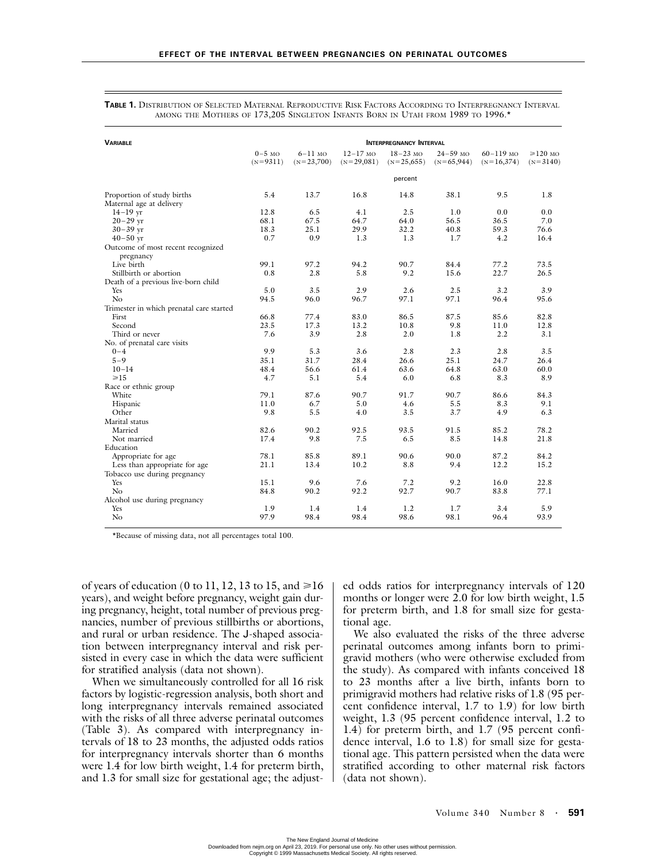| <b>INTERPREGNANCY INTERVAL</b><br><b><i>VARIABLE</i></b>                   |                                |  |  |  |  |  |  |  |  |  |
|----------------------------------------------------------------------------|--------------------------------|--|--|--|--|--|--|--|--|--|
| $0-5$ MO<br>$6-11$ MO<br>$12 - 17$ MO<br>$18 - 23$ MO<br>$24 - 59$ MO      | $60 - 119$ MO<br>$\geq 120$ MO |  |  |  |  |  |  |  |  |  |
| $(N=9311)$<br>$(N=23,700)$<br>$(N=29,081)$<br>$(N=25,655)$<br>$(N=65,944)$ | $(N=16,374)$<br>$(N=3140)$     |  |  |  |  |  |  |  |  |  |
| percent                                                                    |                                |  |  |  |  |  |  |  |  |  |
| 5.4<br>38.1<br>Proportion of study births<br>13.7<br>16.8<br>14.8          | 9.5<br>1.8                     |  |  |  |  |  |  |  |  |  |
| Maternal age at delivery                                                   |                                |  |  |  |  |  |  |  |  |  |
| 12.8<br>4.1<br>2.5<br>$14 - 19$ vr<br>6.5<br>1.0                           | 0.0<br>0.0                     |  |  |  |  |  |  |  |  |  |
| $20 - 29$ yr<br>68.1<br>67.5<br>64.7<br>64.0<br>56.5                       | 36.5<br>7.0                    |  |  |  |  |  |  |  |  |  |
| 25.1<br>29.9<br>32.2<br>18.3<br>40.8<br>$30 - 39$ yr                       | 59.3<br>76.6                   |  |  |  |  |  |  |  |  |  |
| 0.7<br>0.9<br>1.3<br>1.3<br>1.7<br>$40 - 50$ yr                            | 4.2<br>16.4                    |  |  |  |  |  |  |  |  |  |
| Outcome of most recent recognized                                          |                                |  |  |  |  |  |  |  |  |  |
| pregnancy                                                                  |                                |  |  |  |  |  |  |  |  |  |
| Live birth<br>99.1<br>84.4<br>97.2<br>94.2<br>90.7                         | 73.5<br>77.2                   |  |  |  |  |  |  |  |  |  |
| 2.8<br>5.8<br>Stillbirth or abortion<br>0.8<br>9.2<br>15.6                 | 22.7<br>26.5                   |  |  |  |  |  |  |  |  |  |
| Death of a previous live-born child                                        |                                |  |  |  |  |  |  |  |  |  |
| 5.0<br>3.5<br>2.9<br>2.6<br>2.5<br>Yes                                     | 3.2<br>3.9                     |  |  |  |  |  |  |  |  |  |
| No<br>97.1<br>94.5<br>96.0<br>96.7<br>97.1                                 | 96.4<br>95.6                   |  |  |  |  |  |  |  |  |  |
| Trimester in which prenatal care started                                   |                                |  |  |  |  |  |  |  |  |  |
| 77.4<br>83.0<br>86.5<br>87.5<br>First<br>66.8                              | 85.6<br>82.8                   |  |  |  |  |  |  |  |  |  |
| 23.5<br>17.3<br>13.2<br>9.8<br>Second<br>10.8                              | 11.0<br>12.8                   |  |  |  |  |  |  |  |  |  |
| 2.8<br>7.6<br>3.9<br>2.0<br>1.8<br>Third or never                          | 2.2<br>3.1                     |  |  |  |  |  |  |  |  |  |
| No. of prenatal care visits                                                |                                |  |  |  |  |  |  |  |  |  |
| 9.9<br>5.3<br>2.8<br>$0 - 4$<br>3.6<br>2.3                                 | 2.8<br>3.5                     |  |  |  |  |  |  |  |  |  |
| $5 - 9$<br>31.7<br>25.1<br>35.1<br>28.4<br>26.6                            | 24.7<br>26.4                   |  |  |  |  |  |  |  |  |  |
| $10 - 14$<br>48.4<br>56.6<br>61.4<br>63.6<br>64.8                          | 63.0<br>60.0                   |  |  |  |  |  |  |  |  |  |
| $\geq 15$<br>4.7<br>5.1<br>5.4<br>6.0<br>6.8                               | 8.3<br>8.9                     |  |  |  |  |  |  |  |  |  |
| Race or ethnic group                                                       |                                |  |  |  |  |  |  |  |  |  |
| 87.6<br>White<br>79.1<br>90.7<br>91.7<br>90.7                              | 86.6<br>84.3                   |  |  |  |  |  |  |  |  |  |
| 11.0<br>6.7<br>5.0<br>4.6<br>5.5<br>Hispanic                               | 8.3<br>9.1                     |  |  |  |  |  |  |  |  |  |
| 9.8<br>5.5<br>Other<br>4.0<br>3.5<br>3.7                                   | 4.9<br>6.3                     |  |  |  |  |  |  |  |  |  |
| Marital status                                                             |                                |  |  |  |  |  |  |  |  |  |
| Married<br>82.6<br>90.2<br>92.5<br>93.5<br>91.5                            | 78.2<br>85.2                   |  |  |  |  |  |  |  |  |  |
| 17.4<br>9.8<br>7.5<br>6.5<br>8.5<br>Not married                            | 21.8<br>14.8                   |  |  |  |  |  |  |  |  |  |
| Education                                                                  |                                |  |  |  |  |  |  |  |  |  |
| 78.1<br>85.8<br>89.1<br>90.6<br>90.0<br>Appropriate for age                | 87.2<br>84.2                   |  |  |  |  |  |  |  |  |  |
| 21.1<br>13.4<br>10.2<br>8.8<br>Less than appropriate for age<br>9.4        | 12.2<br>15.2                   |  |  |  |  |  |  |  |  |  |
| Tobacco use during pregnancy                                               |                                |  |  |  |  |  |  |  |  |  |
| 15.1<br>9.6<br>Yes<br>7.6<br>7.2<br>9.2                                    | 22.8<br>16.0                   |  |  |  |  |  |  |  |  |  |
| No<br>84.8<br>90.2<br>92.2<br>92.7<br>90.7                                 | 83.8<br>77.1                   |  |  |  |  |  |  |  |  |  |
| Alcohol use during pregnancy                                               |                                |  |  |  |  |  |  |  |  |  |
| 1.9<br>1.2<br>Yes<br>1.4<br>1.4<br>1.7                                     | 5.9<br>3.4                     |  |  |  |  |  |  |  |  |  |
| 98.4<br>98.1<br>N <sub>o</sub><br>97.9<br>98.4<br>98.6                     | 96.4<br>93.9                   |  |  |  |  |  |  |  |  |  |

**TABLE 1.** DISTRIBUTION OF SELECTED MATERNAL REPRODUCTIVE RISK FACTORS ACCORDING TO INTERPREGNANCY INTERVAL AMONG THE MOTHERS OF 173,205 SINGLETON INFANTS BORN IN UTAH FROM 1989 TO 1996.\*

\*Because of missing data, not all percentages total 100.

of years of education (0 to 11, 12, 13 to 15, and  $\geq 16$ years), and weight before pregnancy, weight gain during pregnancy, height, total number of previous pregnancies, number of previous stillbirths or abortions, and rural or urban residence. The J-shaped association between interpregnancy interval and risk persisted in every case in which the data were sufficient for stratified analysis (data not shown).

When we simultaneously controlled for all 16 risk factors by logistic-regression analysis, both short and long interpregnancy intervals remained associated with the risks of all three adverse perinatal outcomes (Table 3). As compared with interpregnancy intervals of 18 to 23 months, the adjusted odds ratios for interpregnancy intervals shorter than 6 months were 1.4 for low birth weight, 1.4 for preterm birth, and 1.3 for small size for gestational age; the adjusted odds ratios for interpregnancy intervals of 120 months or longer were 2.0 for low birth weight, 1.5 for preterm birth, and 1.8 for small size for gestational age.

We also evaluated the risks of the three adverse perinatal outcomes among infants born to primigravid mothers (who were otherwise excluded from the study). As compared with infants conceived 18 to 23 months after a live birth, infants born to primigravid mothers had relative risks of 1.8 (95 percent confidence interval, 1.7 to 1.9) for low birth weight, 1.3 (95 percent confidence interval, 1.2 to 1.4) for preterm birth, and 1.7 (95 percent confidence interval, 1.6 to 1.8) for small size for gestational age. This pattern persisted when the data were stratified according to other maternal risk factors (data not shown).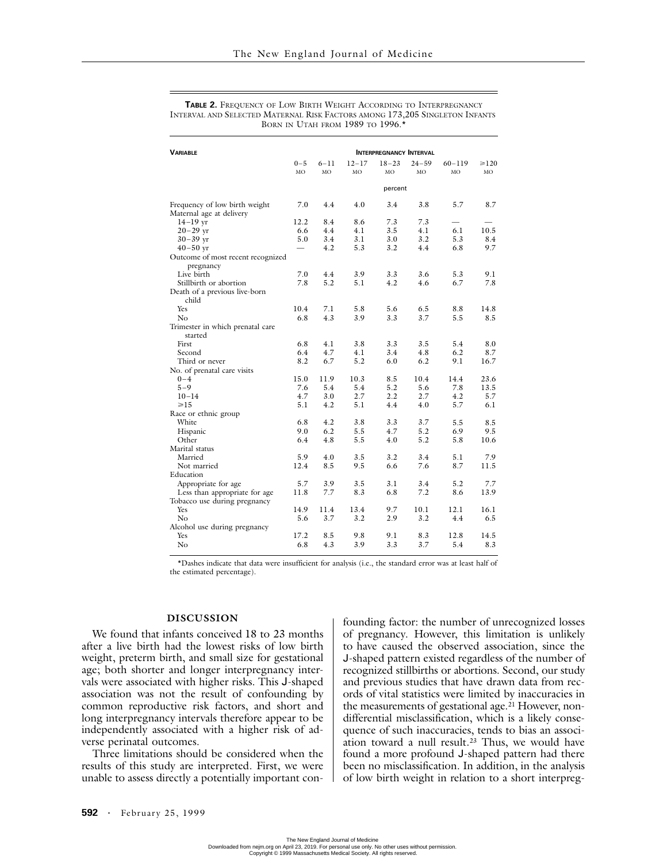| <b><i>VARIABLE</i></b>                         | <b>INTERPREGNANCY INTERVAL</b> |          |           |           |           |                          |            |
|------------------------------------------------|--------------------------------|----------|-----------|-----------|-----------|--------------------------|------------|
|                                                | $0 - 5$                        | $6 - 11$ | $12 - 17$ | $18 - 23$ | $24 - 59$ | $60 - 119$               | $\geq 120$ |
|                                                | MO                             | MO       | MO        | MО        | MO        | MO                       | MO         |
|                                                |                                |          |           |           |           |                          |            |
|                                                | percent                        |          |           |           |           |                          |            |
| Frequency of low birth weight                  | 7.0                            | 4.4      | 4.0       | 3.4       | 3.8       | 5.7                      | 8.7        |
| Maternal age at delivery                       |                                |          |           |           |           |                          |            |
| $14-19$ yr                                     | 12.2                           | 8.4      | 8.6       | 7.3       | 7.3       | $\overline{\phantom{0}}$ |            |
| $20 - 29$ yr                                   | 6.6                            | 4.4      | 4.1       | 3.5       | 4.1       | 6.1                      | 10.5       |
| $30 - 39$ yr                                   | 5.0                            | 3.4      | 3.1       | 3.0       | 3.2       | 5.3                      | 8.4        |
| $40 - 50$ yr                                   |                                | 4.2      | 5.3       | 3.2       | 4.4       | 6.8                      | 9.7        |
| Outcome of most recent recognized<br>pregnancy |                                |          |           |           |           |                          |            |
| Live birth                                     | 7.0                            | 4.4      | 3.9       | 3.3       | 3.6       | 5.3                      | 9.1        |
| Stillbirth or abortion                         | 7.8                            | 5.2      | 5.1       | 4.2       | 4.6       | 6.7                      | 7.8        |
| Death of a previous live-born<br>child         |                                |          |           |           |           |                          |            |
| <b>Yes</b>                                     | 10.4                           | 7.1      | 5.8       | 5.6       | 6.5       | 8.8                      | 14.8       |
| No                                             | 6.8                            | 4.3      | 3.9       | 3.3       | 3.7       | 5.5                      | 8.5        |
| Trimester in which prenatal care<br>started    |                                |          |           |           |           |                          |            |
| First                                          | 6.8                            | 4.1      | 3.8       | 3.3       | 3.5       | 5.4                      | 8.0        |
| Second                                         | 6.4                            | 4.7      | 4.1       | 3.4       | 4.8       | 6.2                      | 8.7        |
| Third or never                                 | 8.2                            | 6.7      | 5.2       | 6.0       | 6.2       | 9.1                      | 16.7       |
| No. of prenatal care visits                    |                                |          |           |           |           |                          |            |
| $0 - 4$                                        | 15.0                           | 11.9     | 10.3      | 8.5       | 10.4      | 14.4                     | 23.6       |
| $5 - 9$                                        | 7.6                            | 5.4      | 5.4       | 5.2       | 5.6       | 7.8                      | 13.5       |
| $10 - 14$                                      | 4.7                            | 3.0      | 2.7       | 2.2       | 2.7       | 4.2                      | 5.7        |
| $\geq 15$                                      |                                | 4.2      | 5.1       | 4.4       | 4.0       | 5.7                      | 6.1        |
|                                                | 5.1                            |          |           |           |           |                          |            |
| Race or ethnic group                           |                                |          |           |           |           |                          |            |
| White                                          | 6.8                            | 4.2      | 3.8       | 3.3       | 3.7       | 5.5                      | 8.5        |
| Hispanic                                       | 9.0                            | 6.2      | 5.5       | 4.7       | 5.2       | 6.9                      | 9.5        |
| Other                                          | 6.4                            | 4.8      | 5.5       | 4.0       | 5.2       | 5.8                      | 10.6       |
| Marital status                                 |                                |          |           |           |           |                          |            |
| Married                                        | 5.9                            | 4.0      | 3.5       | 3.2       | 3.4       | 5.1                      | 7.9        |
| Not married                                    | 12.4                           | 8.5      | 9.5       | 6.6       | 7.6       | 8.7                      | 11.5       |
| Education                                      |                                |          |           |           |           |                          |            |
| Appropriate for age                            | 5.7                            | 3.9      | 3.5       | 3.1       | 3.4       | 5.2                      | 7.7        |
| Less than appropriate for age                  | 11.8                           | 7.7      | 8.3       | 6.8       | 7.2       | 8.6                      | 13.9       |
| Tobacco use during pregnancy                   |                                |          |           |           |           |                          |            |
| Yes                                            | 14.9                           | 11.4     | 13.4      | 9.7       | 10.1      | 12.1                     | 16.1       |
| No                                             | 5.6                            | 3.7      | 3.2       | 2.9       | 3.2       | 4.4                      | 6.5        |
| Alcohol use during pregnancy                   |                                |          |           |           |           |                          |            |
| Yes                                            | 17.2                           | 8.5      | 9.8       | 9.1       | 8.3       | 12.8                     | 14.5       |
| $\rm No$                                       | 6.8                            | 4.3      | 3.9       | 3.3       | 3.7       | 5.4                      | 8.3        |

**TABLE 2.** FREQUENCY OF LOW BIRTH WEIGHT ACCORDING TO INTERPREGNANCY INTERVAL AND SELECTED MATERNAL RISK FACTORS AMONG 173,205 SINGLETON INFANTS BORN IN UTAH FROM 1989 TO 1996.

\*Dashes indicate that data were insufficient for analysis (i.e., the standard error was at least half of the estimated percentage).

## **DISCUSSION**

We found that infants conceived 18 to 23 months after a live birth had the lowest risks of low birth weight, preterm birth, and small size for gestational age; both shorter and longer interpregnancy intervals were associated with higher risks. This J-shaped association was not the result of confounding by common reproductive risk factors, and short and long interpregnancy intervals therefore appear to be independently associated with a higher risk of adverse perinatal outcomes.

Three limitations should be considered when the results of this study are interpreted. First, we were unable to assess directly a potentially important confounding factor: the number of unrecognized losses of pregnancy. However, this limitation is unlikely to have caused the observed association, since the J-shaped pattern existed regardless of the number of recognized stillbirths or abortions. Second, our study and previous studies that have drawn data from records of vital statistics were limited by inaccuracies in the measurements of gestational age.<sup>21</sup> However, nondifferential misclassification, which is a likely consequence of such inaccuracies, tends to bias an association toward a null result.23 Thus, we would have found a more profound J-shaped pattern had there been no misclassification. In addition, in the analysis of low birth weight in relation to a short interpreg-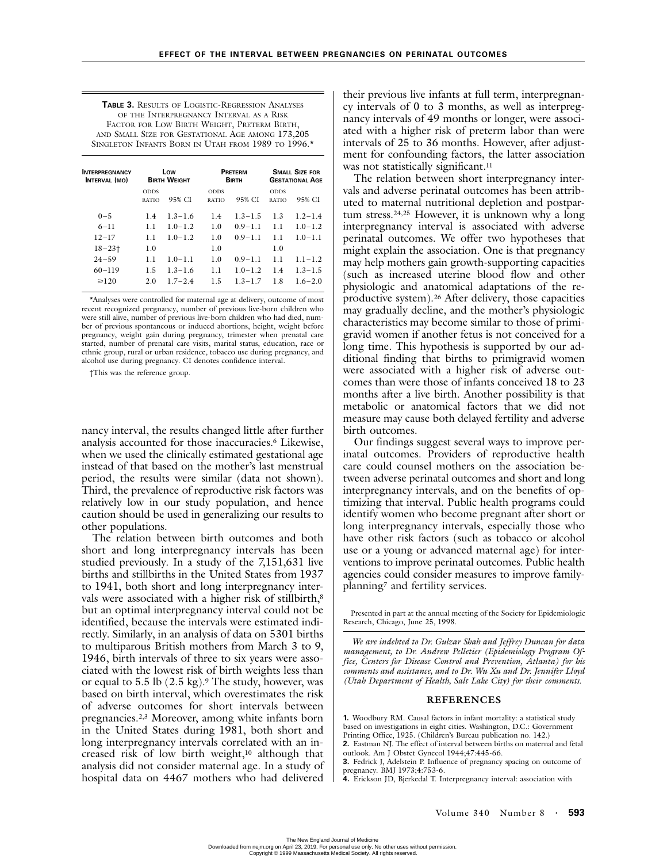**TABLE 3.** RESULTS OF LOGISTIC-REGRESSION ANALYSES OF THE INTERPREGNANCY INTERVAL AS A RISK FACTOR FOR LOW BIRTH WEIGHT, PRETERM BIRTH, AND SMALL SIZE FOR GESTATIONAL AGE AMONG 173,205 SINGLETON INFANTS BORN IN UTAH FROM 1989 TO 1996.\*

| Low<br><b>BIRTH WEIGHT</b> |             | PRETERM<br><b>BIRTH</b> |             | <b>SMALL SIZE FOR</b><br><b>GESTATIONAL AGE</b> |             |
|----------------------------|-------------|-------------------------|-------------|-------------------------------------------------|-------------|
| <b>ODDS</b>                |             | <b>ODDS</b>             |             | <b>ODDS</b>                                     |             |
| <b>RATIO</b>               |             | <b>RATIO</b>            |             | <b>RATIO</b>                                    | 95% CI      |
| 1.4                        | $1.3 - 1.6$ | 1.4                     | $1.3 - 1.5$ | 1.3                                             | $1.2 - 1.4$ |
| 11                         | $10-12$     | 1.0                     | $0.9 - 1.1$ | 11                                              | $1.0 - 1.2$ |
| 11                         | $10-12$     | 1.0                     | $0.9 - 1.1$ | 11                                              | $1.0 - 1.1$ |
| 1.0                        |             | 1.0                     |             | 1.0                                             |             |
| 1.1                        | $1.0 - 1.1$ | 1.0                     | $0.9 - 1.1$ | 1.1                                             | $1.1 - 1.2$ |
| 1.5                        | $1.3 - 1.6$ | 1.1                     | $1.0 - 1.2$ | 1.4                                             | $1.3 - 1.5$ |
| 2.0                        | $1.7 - 2.4$ | 1.5                     | $1.3 - 1.7$ | 1.8                                             | $1.6 - 2.0$ |
|                            |             | 95% CI                  |             | 95% CI                                          |             |

\*Analyses were controlled for maternal age at delivery, outcome of most recent recognized pregnancy, number of previous live-born children who were still alive, number of previous live-born children who had died, number of previous spontaneous or induced abortions, height, weight before pregnancy, weight gain during pregnancy, trimester when prenatal care started, number of prenatal care visits, marital status, education, race or ethnic group, rural or urban residence, tobacco use during pregnancy, and alcohol use during pregnancy. CI denotes confidence interval.

†This was the reference group.

nancy interval, the results changed little after further analysis accounted for those inaccuracies.6 Likewise, when we used the clinically estimated gestational age instead of that based on the mother's last menstrual period, the results were similar (data not shown). Third, the prevalence of reproductive risk factors was relatively low in our study population, and hence caution should be used in generalizing our results to other populations.

The relation between birth outcomes and both short and long interpregnancy intervals has been studied previously. In a study of the 7,151,631 live births and stillbirths in the United States from 1937 to 1941, both short and long interpregnancy intervals were associated with a higher risk of stillbirth,<sup>8</sup> but an optimal interpregnancy interval could not be identified, because the intervals were estimated indirectly. Similarly, in an analysis of data on 5301 births to multiparous British mothers from March 3 to 9, 1946, birth intervals of three to six years were associated with the lowest risk of birth weights less than or equal to  $5.5$  lb  $(2.5 \text{ kg})$ .<sup>9</sup> The study, however, was based on birth interval, which overestimates the risk of adverse outcomes for short intervals between pregnancies.2,3 Moreover, among white infants born in the United States during 1981, both short and long interpregnancy intervals correlated with an increased risk of low birth weight,<sup>10</sup> although that analysis did not consider maternal age. In a study of hospital data on 4467 mothers who had delivered their previous live infants at full term, interpregnancy intervals of 0 to 3 months, as well as interpregnancy intervals of 49 months or longer, were associated with a higher risk of preterm labor than were intervals of 25 to 36 months. However, after adjustment for confounding factors, the latter association was not statistically significant.<sup>11</sup>

The relation between short interpregnancy intervals and adverse perinatal outcomes has been attributed to maternal nutritional depletion and postpartum stress.24,25 However, it is unknown why a long interpregnancy interval is associated with adverse perinatal outcomes. We offer two hypotheses that might explain the association. One is that pregnancy may help mothers gain growth-supporting capacities (such as increased uterine blood flow and other physiologic and anatomical adaptations of the reproductive system).26 After delivery, those capacities may gradually decline, and the mother's physiologic characteristics may become similar to those of primigravid women if another fetus is not conceived for a long time. This hypothesis is supported by our additional finding that births to primigravid women were associated with a higher risk of adverse outcomes than were those of infants conceived 18 to 23 months after a live birth. Another possibility is that metabolic or anatomical factors that we did not measure may cause both delayed fertility and adverse birth outcomes.

Our findings suggest several ways to improve perinatal outcomes. Providers of reproductive health care could counsel mothers on the association between adverse perinatal outcomes and short and long interpregnancy intervals, and on the benefits of optimizing that interval. Public health programs could identify women who become pregnant after short or long interpregnancy intervals, especially those who have other risk factors (such as tobacco or alcohol use or a young or advanced maternal age) for interventions to improve perinatal outcomes. Public health agencies could consider measures to improve familyplanning7 and fertility services.

Presented in part at the annual meeting of the Society for Epidemiologic Research, Chicago, June 25, 1998.

*We are indebted to Dr. Gulzar Shah and Jeffrey Duncan for data management, to Dr. Andrew Pelletier (Epidemiology Program Office, Centers for Disease Control and Prevention, Atlanta) for his comments and assistance, and to Dr. Wu Xu and Dr. Jennifer Lloyd (Utah Department of Health, Salt Lake City) for their comments.*

#### **REFERENCES**

**1.** Woodbury RM. Causal factors in infant mortality: a statistical study based on investigations in eight cities. Washington, D.C.: Government Printing Office, 1925. (Children's Bureau publication no. 142.) **2.** Eastman NJ. The effect of interval between births on maternal and fetal

outlook. Am J Obstet Gynecol 1944;47:445-66. **3.** Fedrick J, Adelstein P. Influence of pregnancy spacing on outcome of

pregnancy. BMJ 1973;4:753-6.

**4.** Erickson JD, Bjerkedal T. Interpregnancy interval: association with